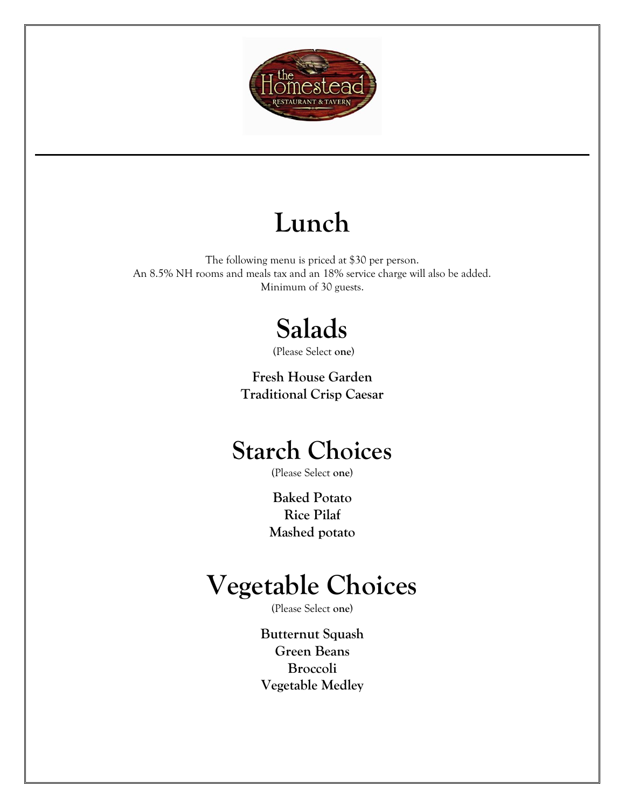

# **Lunch**

The following menu is priced at \$30 per person. An 8.5% NH rooms and meals tax and an 18% service charge will also be added. Minimum of 30 guests.

# **Salads**

(Please Select **one**)

**Fresh House Garden Traditional Crisp Caesar**

## **Starch Choices**

(Please Select **one**)

**Baked Potato Rice Pilaf Mashed potato**

### **Vegetable Choices**

(Please Select **one**)

**Butternut Squash Green Beans Broccoli Vegetable Medley**